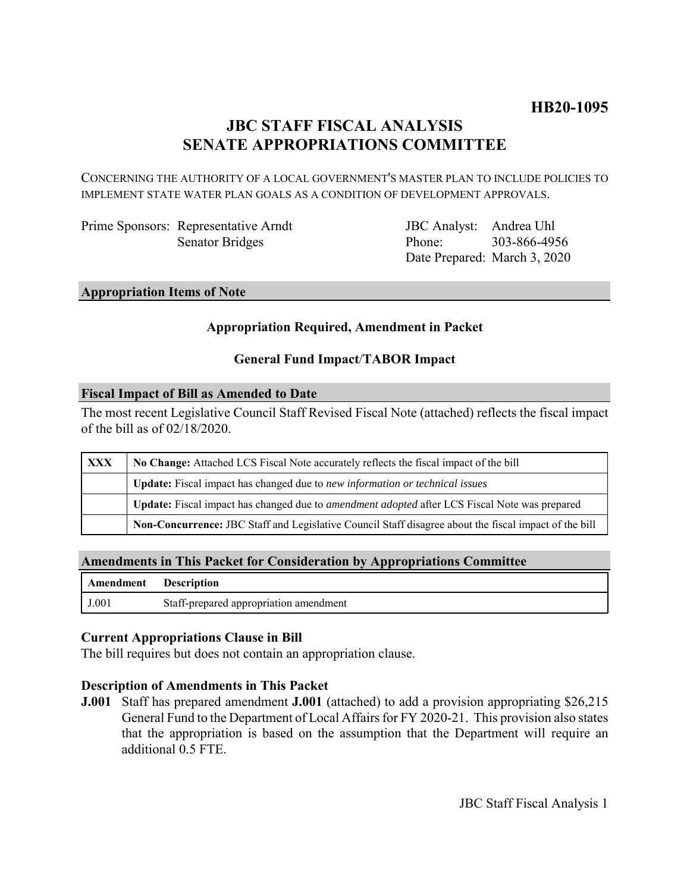# **JBC STAFF FISCAL ANALYSIS SENATE APPROPRIATIONS COMMITTEE**

CONCERNING THE AUTHORITY OF A LOCAL GOVERNMENT'S MASTER PLAN TO INCLUDE POLICIES TO IMPLEMENT STATE WATER PLAN GOALS AS A CONDITION OF DEVELOPMENT APPROVALS.

Prime Sponsors: Representative Arndt Senator Bridges

JBC Analyst: Andrea Uhl Phone: Date Prepared: March 3, 2020 303-866-4956

## **Appropriation Items of Note**

### **Appropriation Required, Amendment in Packet**

### **General Fund Impact**/**TABOR Impact**

#### **Fiscal Impact of Bill as Amended to Date**

The most recent Legislative Council Staff Revised Fiscal Note (attached) reflects the fiscal impact of the bill as of 02/18/2020.

| <b>XXX</b> | No Change: Attached LCS Fiscal Note accurately reflects the fiscal impact of the bill                       |
|------------|-------------------------------------------------------------------------------------------------------------|
|            | Update: Fiscal impact has changed due to new information or technical issues                                |
|            | <b>Update:</b> Fiscal impact has changed due to <i>amendment adopted</i> after LCS Fiscal Note was prepared |
|            | Non-Concurrence: JBC Staff and Legislative Council Staff disagree about the fiscal impact of the bill       |

#### **Amendments in This Packet for Consideration by Appropriations Committee**

| Amendment Description |                                        |
|-----------------------|----------------------------------------|
| J.001                 | Staff-prepared appropriation amendment |

#### **Current Appropriations Clause in Bill**

The bill requires but does not contain an appropriation clause.

#### **Description of Amendments in This Packet**

**J.001** Staff has prepared amendment **J.001** (attached) to add a provision appropriating \$26,215 General Fund to the Department of Local Affairs for FY 2020-21. This provision also states that the appropriation is based on the assumption that the Department will require an additional 0.5 FTE.